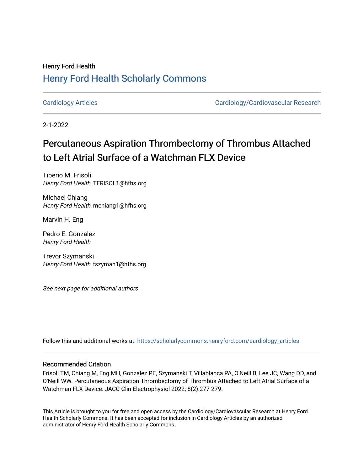## Henry Ford Health [Henry Ford Health Scholarly Commons](https://scholarlycommons.henryford.com/)

[Cardiology Articles](https://scholarlycommons.henryford.com/cardiology_articles) [Cardiology/Cardiovascular Research](https://scholarlycommons.henryford.com/cardiology) 

2-1-2022

# Percutaneous Aspiration Thrombectomy of Thrombus Attached to Left Atrial Surface of a Watchman FLX Device

Tiberio M. Frisoli Henry Ford Health, TFRISOL1@hfhs.org

Michael Chiang Henry Ford Health, mchiang1@hfhs.org

Marvin H. Eng

Pedro E. Gonzalez Henry Ford Health

Trevor Szymanski Henry Ford Health, tszyman1@hfhs.org

See next page for additional authors

Follow this and additional works at: [https://scholarlycommons.henryford.com/cardiology\\_articles](https://scholarlycommons.henryford.com/cardiology_articles?utm_source=scholarlycommons.henryford.com%2Fcardiology_articles%2F886&utm_medium=PDF&utm_campaign=PDFCoverPages)

### Recommended Citation

Frisoli TM, Chiang M, Eng MH, Gonzalez PE, Szymanski T, Villablanca PA, O'Neill B, Lee JC, Wang DD, and O'Neill WW. Percutaneous Aspiration Thrombectomy of Thrombus Attached to Left Atrial Surface of a Watchman FLX Device. JACC Clin Electrophysiol 2022; 8(2):277-279.

This Article is brought to you for free and open access by the Cardiology/Cardiovascular Research at Henry Ford Health Scholarly Commons. It has been accepted for inclusion in Cardiology Articles by an authorized administrator of Henry Ford Health Scholarly Commons.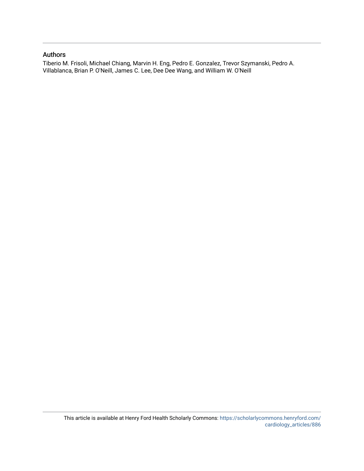### Authors

Tiberio M. Frisoli, Michael Chiang, Marvin H. Eng, Pedro E. Gonzalez, Trevor Szymanski, Pedro A. Villablanca, Brian P. O'Neill, James C. Lee, Dee Dee Wang, and William W. O'Neill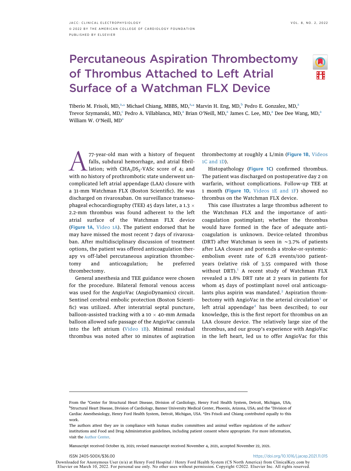# Percutaneous Aspiration Thrombectomy of Thrombus Attached to Left Atrial Surface of a Watchman FLX Device



Tiberio M. Frisoli, MD,<sup>[a](#page-2-0),[\\*](#page-2-1)</sup> Michael Chiang, MBBS, MD,<sup>a,\*</sup> Marvin H. Eng, MD,<sup>b</sup> Pedro E. Gonzalez, MD,<sup>a</sup> Trevor Szymanski, MD,<sup>[c](#page-2-2)</sup> Pedro A. Vill[a](#page-2-0)blanca, MD,<sup>a</sup> Brian O'Neill, MD,<sup>a</sup> James C. Lee, MD,<sup>a</sup> Dee Dee Wang, MD,<sup>a</sup> Willi[a](#page-2-0)m W. O'Neill, MD<sup>a</sup>

T7-year-old man with a history of frequent falls, subdural hemorrhage, and atrial fibril-<br>lation; with CHA<sub>2</sub>DS<sub>2</sub>-VASc score of 4; and<br>with no history of prothrombotic state underwent unfalls, subdural hemorrhage, and atrial fibrillation; with  $CHA<sub>2</sub>DS<sub>2</sub>-VASC score of 4; and$ complicated left atrial appendage (LAA) closure with a 31-mm Watchman FLX (Boston Scientific). He was discharged on rivaroxaban. On surveillance transesophageal echocardiography (TEE) 45 days later, a 1.3  $\times$ 2.2-mm thrombus was found adherent to the left atrial surface of the Watchman FLX device ([Figure 1A,](#page-3-0) [Video 1A](https://doi.org/10.1016/j.jacep.2021.11.015)). The patient endorsed that he may have missed the most recent 7 days of rivaroxaban. After multidisciplinary discussion of treatment options, the patient was offered anticoagulation therapy vs off-label percutaneous aspiration thrombectomy and anticoagulation; he preferred thrombectomy.

General anesthesia and TEE guidance were chosen for the procedure. Bilateral femoral venous access was used for the AngioVac (AngioDynamics) circuit. Sentinel cerebral embolic protection (Boston Scientific) was utilized. After interatrial septal puncture, balloon-assisted tracking with a 10  $\times$  40-mm Armada balloon allowed safe passage of the AngioVac cannula into the left atrium ([Video 1B](https://doi.org/10.1016/j.jacep.2021.11.015)). Minimal residual thrombus was noted after 10 minutes of aspiration thrombectomy at roughly 4 L/min ([Figure 1B,](#page-3-0) [Videos](https://doi.org/10.1016/j.jacep.2021.11.015) [1C](https://doi.org/10.1016/j.jacep.2021.11.015) and [1D\)](https://doi.org/10.1016/j.jacep.2021.11.015).

Histopathology ([Figure 1C](#page-3-0)) confirmed thrombus. The patient was discharged on postoperative day 2 on warfarin, without complications. Follow-up TEE at 1 month ([Figure 1D](#page-3-0), [Videos 1E](https://doi.org/10.1016/j.jacep.2021.11.015) and 1F) showed no thrombus on the Watchman FLX device.

This case illustrates a large thrombus adherent to the Watchman FLX and the importance of anticoagulation postimplant; whether the thrombus would have formed in the face of adequate anticoagulation is unknown. Device-related thrombus (DRT) after Watchman is seen in  $\sim$ 3.7% of patients after LAA closure and portends a stroke-or-systemicembolism event rate of 6.28 events/100 patientyears (relative risk of 3.55 compared with those without DRT). $^1$  $^1$  A recent study of Watchman FLX revealed a 1.8% DRT rate at 2 years in patients for whom 45 days of postimplant novel oral anticoagulants plus aspirin was mandated. $2$  Aspiration throm-bectomy with AngioVac in the arterial circulation<sup>[3](#page-4-2)</sup> or left atrial appendage<sup>[4](#page-4-3)</sup> has been described; to our knowledge, this is the first report for thrombus on an LAA closure device. The relatively large size of the thrombus, and our group's experience with AngioVac in the left heart, led us to offer AngioVac for this

Manuscript received October 19, 2021; revised manuscript received November 4, 2021, accepted November 22, 2021.

Downloaded for Anonymous User (n/a) at Henry Ford Hospital / Henry Ford Health System (CS North America) from ClinicalKey.com by Elsevier on March 10, 2022. For personal use only. No other uses without permission. Copyright ©2022. Elsevier Inc. All rights reserved.

<span id="page-2-2"></span><span id="page-2-1"></span><span id="page-2-0"></span>From the <sup>a</sup>Center for Structural Heart Disease, Division of Cardiology, Henry Ford Health System, Detroit, Michigan, USA; <sup>b</sup>Structural Heart Disease, Division of Cardiology, Banner University Medical Center, Phoenix, Arizona, USA; and the 'Division of Cardiac Anesthesiology, Henry Ford Health System, Detroit, Michigan, USA. \*Drs Frisoli and Chiang contributed equally to this work.

The authors attest they are in compliance with human studies committees and animal welfare regulations of the authors' institutions and Food and Drug Administration guidelines, including patient consent where appropriate. For more information, visit the [Author Center](https://www.jacc.org/author-center).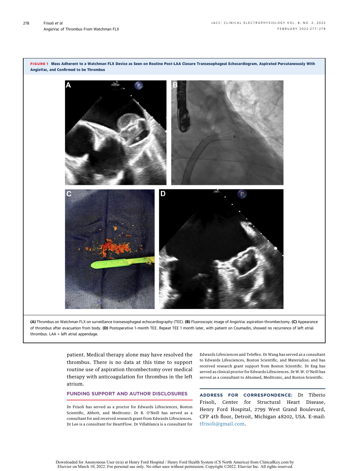

<span id="page-3-0"></span>FIGURE 1 Mass Adherent to a Watchman FLX Device as Seen on Routine Post-LAA Closure Transesophageal Echocardiogram, Aspirated Percutaneously With

(A) Thrombus on Watchman FLX on surveillance transesophageal echocardiography (TEE). (B) Fluoroscopic image of AngioVac aspiration thrombectomy. (C) Appearance of thrombus after evacuation from body. (D) Postoperative 1-month TEE. Repeat TEE 1 month later, with patient on Coumadin, showed no recurrence of left atrial thrombus. LAA = left atrial appendage.

> patient. Medical therapy alone may have resolved the thrombus. There is no data at this time to support routine use of aspiration thrombectomy over medical therapy with anticoagulation for thrombus in the left atrium.

#### FUNDING SUPPORT AND AUTHOR DISCLOSURES

Dr Frisoli has served as a proctor for Edwards Lifesciences, Boston Scientific, Abbott, and Medtronic. Dr B. O'Neill has served as a consultant for and received research grant from Edwards Lifesciences. Dr Lee is a consultant for HeartFlow. Dr Villablanca is a consultant for Edwards Lifesciences and Teleflex. Dr Wang has served as a consultant to Edwards Lifesciences, Boston Scientific, and Materialize; and has received research grant support from Boston Scientific. Dr Eng has served as clinical proctor for Edwards Lifesciences. Dr W.W. O'Neill has served as a consultant to Abiomed, Medtronic, and Boston Scientific.

ADDRESS FOR CORRESPONDENCE: Dr Tiberio Frisoli, Center for Structural Heart Disease, Henry Ford Hospital, 2799 West Grand Boulevard, CFP 4th floor, Detroit, Michigan 48202, USA. E-mail: [tfrisoli@gmail.com](mailto:tfrisoli@gmail.com).